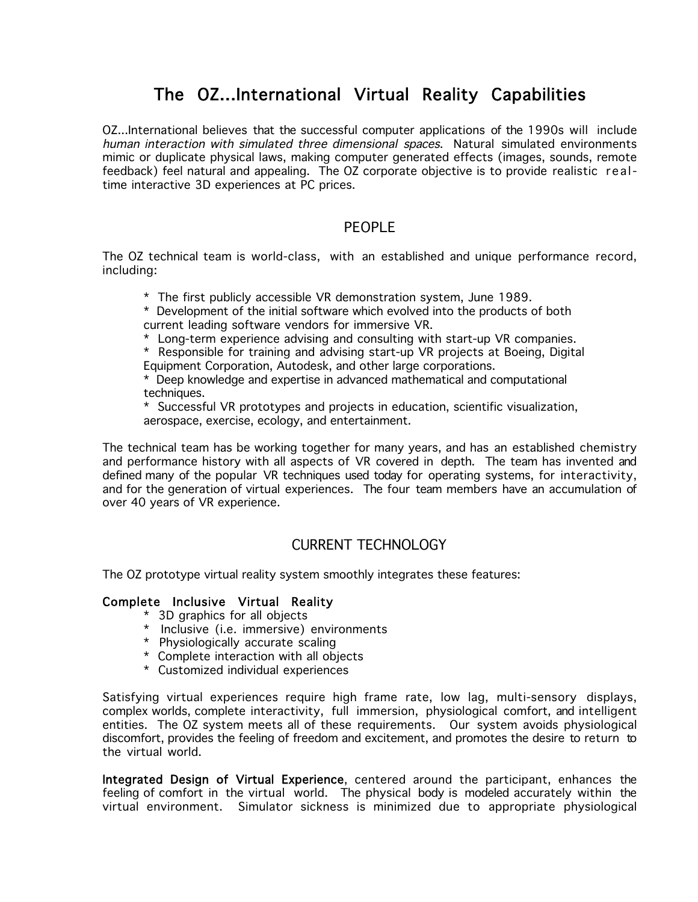# The OZ...International Virtual Reality Capabilities

OZ...International believes that the successful computer applications of the 1990s will include human interaction with simulated three dimensional spaces. Natural simulated environments mimic or duplicate physical laws, making computer generated effects (images, sounds, remote feedback) feel natural and appealing. The OZ corporate objective is to provide realistic realtime interactive 3D experiences at PC prices.

## PEOPLE

The OZ technical team is world-class, with an established and unique performance record, including:

\* The first publicly accessible VR demonstration system, June 1989.

\* Development of the initial software which evolved into the products of both current leading software vendors for immersive VR.

\* Long-term experience advising and consulting with start-up VR companies.

\* Responsible for training and advising start-up VR projects at Boeing, Digital Equipment Corporation, Autodesk, and other large corporations.

\* Deep knowledge and expertise in advanced mathematical and computational techniques.

\* Successful VR prototypes and projects in education, scientific visualization, aerospace, exercise, ecology, and entertainment.

The technical team has be working together for many years, and has an established chemistry and performance history with all aspects of VR covered in depth. The team has invented and defined many of the popular VR techniques used today for operating systems, for interactivity, and for the generation of virtual experiences. The four team members have an accumulation of over 40 years of VR experience.

## CURRENT TECHNOLOGY

The OZ prototype virtual reality system smoothly integrates these features:

#### Complete Inclusive Virtual Reality

- \* 3D graphics for all objects
- \* Inclusive (i.e. immersive) environments
- \* Physiologically accurate scaling
- \* Complete interaction with all objects
- \* Customized individual experiences

Satisfying virtual experiences require high frame rate, low lag, multi-sensory displays, complex worlds, complete interactivity, full immersion, physiological comfort, and intelligent entities. The OZ system meets all of these requirements. Our system avoids physiological discomfort, provides the feeling of freedom and excitement, and promotes the desire to return to the virtual world.

Integrated Design of Virtual Experience, centered around the participant, enhances the feeling of comfort in the virtual world. The physical body is modeled accurately within the virtual environment. Simulator sickness is minimized due to appropriate physiological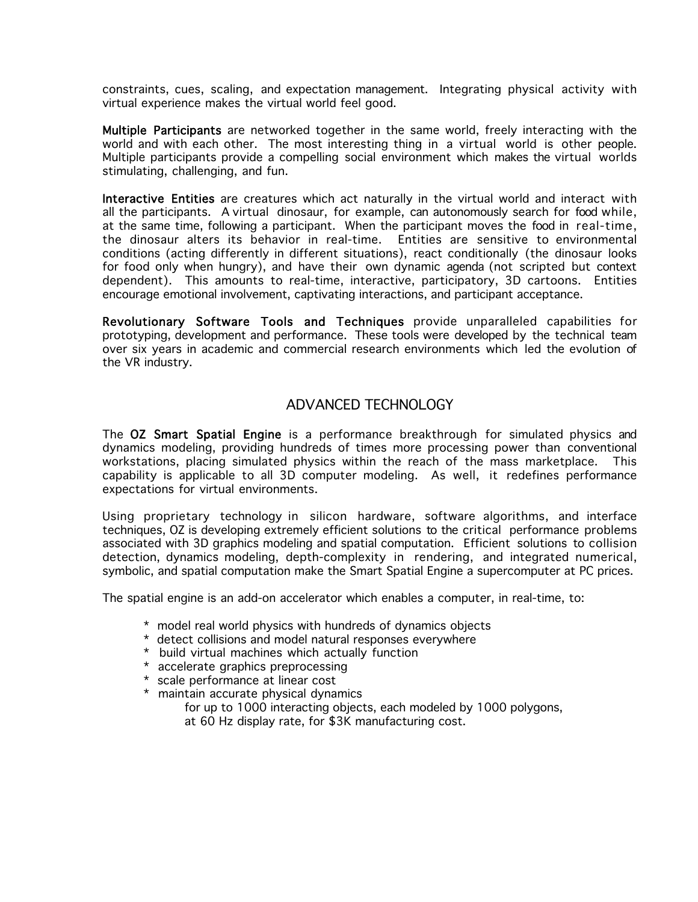constraints, cues, scaling, and expectation management. Integrating physical activity with virtual experience makes the virtual world feel good.

Multiple Participants are networked together in the same world, freely interacting with the world and with each other. The most interesting thing in a virtual world is other people. Multiple participants provide a compelling social environment which makes the virtual worlds stimulating, challenging, and fun.

Interactive Entities are creatures which act naturally in the virtual world and interact with all the participants. A virtual dinosaur, for example, can autonomously search for food while, at the same time, following a participant. When the participant moves the food in real-time, the dinosaur alters its behavior in real-time. Entities are sensitive to environmental conditions (acting differently in different situations), react conditionally (the dinosaur looks for food only when hungry), and have their own dynamic agenda (not scripted but context dependent). This amounts to real-time, interactive, participatory, 3D cartoons. Entities encourage emotional involvement, captivating interactions, and participant acceptance.

Revolutionary Software Tools and Techniques provide unparalleled capabilities for prototyping, development and performance. These tools were developed by the technical team over six years in academic and commercial research environments which led the evolution of the VR industry.

## ADVANCED TECHNOLOGY

The OZ Smart Spatial Engine is a performance breakthrough for simulated physics and dynamics modeling, providing hundreds of times more processing power than conventional workstations, placing simulated physics within the reach of the mass marketplace. This capability is applicable to all 3D computer modeling. As well, it redefines performance expectations for virtual environments.

Using proprietary technology in silicon hardware, software algorithms, and interface techniques, OZ is developing extremely efficient solutions to the critical performance problems associated with 3D graphics modeling and spatial computation. Efficient solutions to collision detection, dynamics modeling, depth-complexity in rendering, and integrated numerical, symbolic, and spatial computation make the Smart Spatial Engine a supercomputer at PC prices.

The spatial engine is an add-on accelerator which enables a computer, in real-time, to:

- \* model real world physics with hundreds of dynamics objects
- \* detect collisions and model natural responses everywhere
- \* build virtual machines which actually function
- \* accelerate graphics preprocessing
- \* scale performance at linear cost
- \* maintain accurate physical dynamics
	- for up to 1000 interacting objects, each modeled by 1000 polygons,
	- at 60 Hz display rate, for \$3K manufacturing cost.